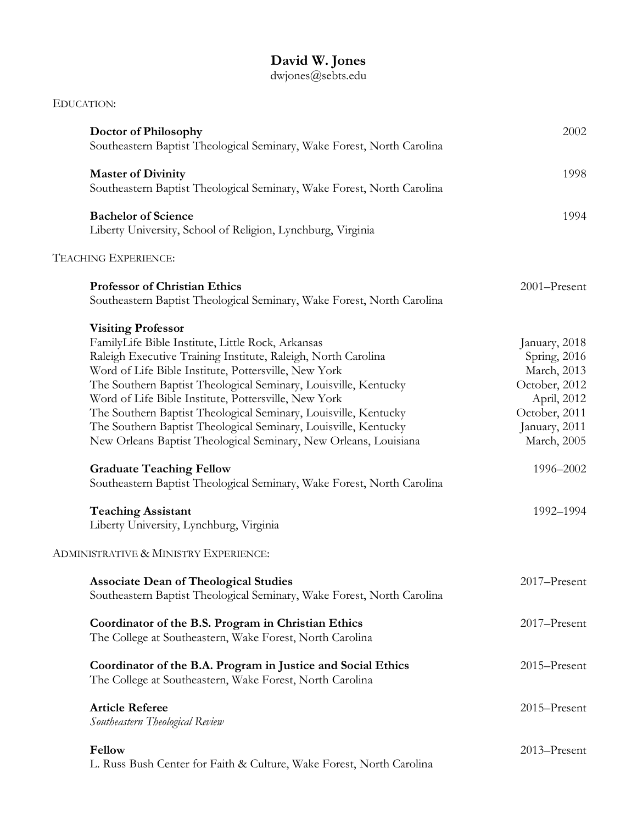## **David W. Jones**

## dwjones@sebts.edu

| EDUCATION:                                                                                                                                                                                                                                                                                                                                                                                                                                                                                                                                   |                                                                                                                               |
|----------------------------------------------------------------------------------------------------------------------------------------------------------------------------------------------------------------------------------------------------------------------------------------------------------------------------------------------------------------------------------------------------------------------------------------------------------------------------------------------------------------------------------------------|-------------------------------------------------------------------------------------------------------------------------------|
| Doctor of Philosophy<br>Southeastern Baptist Theological Seminary, Wake Forest, North Carolina                                                                                                                                                                                                                                                                                                                                                                                                                                               | 2002                                                                                                                          |
| <b>Master of Divinity</b><br>Southeastern Baptist Theological Seminary, Wake Forest, North Carolina                                                                                                                                                                                                                                                                                                                                                                                                                                          | 1998                                                                                                                          |
| <b>Bachelor of Science</b><br>Liberty University, School of Religion, Lynchburg, Virginia                                                                                                                                                                                                                                                                                                                                                                                                                                                    | 1994                                                                                                                          |
| TEACHING EXPERIENCE:                                                                                                                                                                                                                                                                                                                                                                                                                                                                                                                         |                                                                                                                               |
| <b>Professor of Christian Ethics</b><br>Southeastern Baptist Theological Seminary, Wake Forest, North Carolina                                                                                                                                                                                                                                                                                                                                                                                                                               | 2001-Present                                                                                                                  |
| <b>Visiting Professor</b><br>FamilyLife Bible Institute, Little Rock, Arkansas<br>Raleigh Executive Training Institute, Raleigh, North Carolina<br>Word of Life Bible Institute, Pottersville, New York<br>The Southern Baptist Theological Seminary, Louisville, Kentucky<br>Word of Life Bible Institute, Pottersville, New York<br>The Southern Baptist Theological Seminary, Louisville, Kentucky<br>The Southern Baptist Theological Seminary, Louisville, Kentucky<br>New Orleans Baptist Theological Seminary, New Orleans, Louisiana | January, 2018<br>Spring, 2016<br>March, 2013<br>October, 2012<br>April, 2012<br>October, 2011<br>January, 2011<br>March, 2005 |
| <b>Graduate Teaching Fellow</b><br>Southeastern Baptist Theological Seminary, Wake Forest, North Carolina                                                                                                                                                                                                                                                                                                                                                                                                                                    | 1996-2002                                                                                                                     |
| <b>Teaching Assistant</b><br>Liberty University, Lynchburg, Virginia                                                                                                                                                                                                                                                                                                                                                                                                                                                                         | 1992-1994                                                                                                                     |
| ADMINISTRATIVE & MINISTRY EXPERIENCE:                                                                                                                                                                                                                                                                                                                                                                                                                                                                                                        |                                                                                                                               |
| <b>Associate Dean of Theological Studies</b><br>Southeastern Baptist Theological Seminary, Wake Forest, North Carolina                                                                                                                                                                                                                                                                                                                                                                                                                       | 2017-Present                                                                                                                  |
| Coordinator of the B.S. Program in Christian Ethics<br>The College at Southeastern, Wake Forest, North Carolina                                                                                                                                                                                                                                                                                                                                                                                                                              | 2017-Present                                                                                                                  |
| Coordinator of the B.A. Program in Justice and Social Ethics<br>The College at Southeastern, Wake Forest, North Carolina                                                                                                                                                                                                                                                                                                                                                                                                                     | 2015-Present                                                                                                                  |
| <b>Article Referee</b><br>Southeastern Theological Review                                                                                                                                                                                                                                                                                                                                                                                                                                                                                    | 2015-Present                                                                                                                  |
| Fellow<br>L. Russ Bush Center for Faith & Culture, Wake Forest, North Carolina                                                                                                                                                                                                                                                                                                                                                                                                                                                               | 2013-Present                                                                                                                  |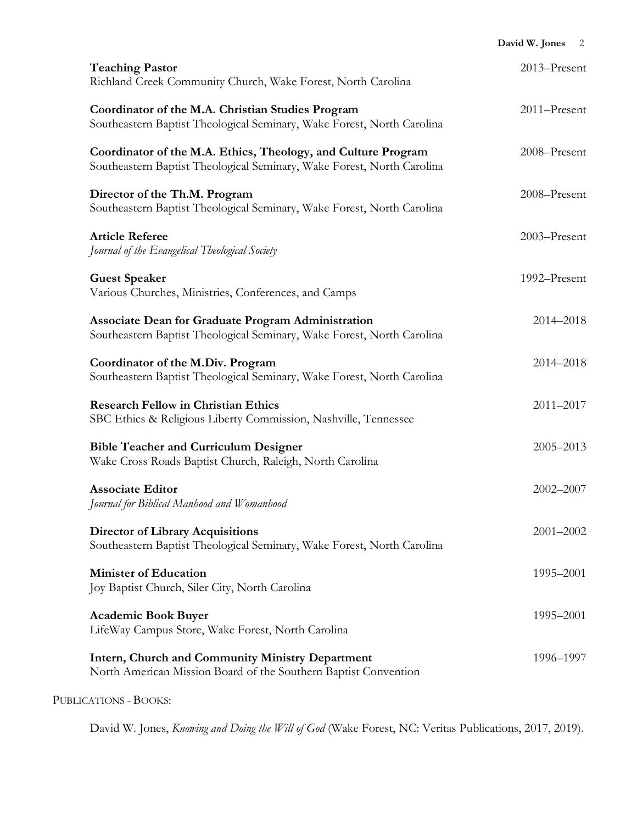|                                                                                                                                         | David W. Jones 2 |
|-----------------------------------------------------------------------------------------------------------------------------------------|------------------|
| <b>Teaching Pastor</b><br>Richland Creek Community Church, Wake Forest, North Carolina                                                  | 2013-Present     |
| Coordinator of the M.A. Christian Studies Program<br>Southeastern Baptist Theological Seminary, Wake Forest, North Carolina             | 2011-Present     |
| Coordinator of the M.A. Ethics, Theology, and Culture Program<br>Southeastern Baptist Theological Seminary, Wake Forest, North Carolina | 2008-Present     |
| Director of the Th.M. Program<br>Southeastern Baptist Theological Seminary, Wake Forest, North Carolina                                 | 2008-Present     |
| <b>Article Referee</b><br>Journal of the Evangelical Theological Society                                                                | 2003-Present     |
| <b>Guest Speaker</b><br>Various Churches, Ministries, Conferences, and Camps                                                            | 1992-Present     |
| Associate Dean for Graduate Program Administration<br>Southeastern Baptist Theological Seminary, Wake Forest, North Carolina            | 2014-2018        |
| Coordinator of the M.Div. Program<br>Southeastern Baptist Theological Seminary, Wake Forest, North Carolina                             | 2014-2018        |
| <b>Research Fellow in Christian Ethics</b><br>SBC Ethics & Religious Liberty Commission, Nashville, Tennessee                           | 2011-2017        |
| <b>Bible Teacher and Curriculum Designer</b><br>Wake Cross Roads Baptist Church, Raleigh, North Carolina                                | 2005-2013        |
| <b>Associate Editor</b><br>Journal for Biblical Manhood and Womanhood                                                                   | 2002-2007        |
| <b>Director of Library Acquisitions</b><br>Southeastern Baptist Theological Seminary, Wake Forest, North Carolina                       | 2001-2002        |
| <b>Minister of Education</b><br>Joy Baptist Church, Siler City, North Carolina                                                          | 1995-2001        |
| <b>Academic Book Buyer</b><br>LifeWay Campus Store, Wake Forest, North Carolina                                                         | 1995-2001        |
| Intern, Church and Community Ministry Department<br>North American Mission Board of the Southern Baptist Convention                     | 1996-1997        |
|                                                                                                                                         |                  |

## PUBLICATIONS - BOOKS:

David W. Jones, *Knowing and Doing the Will of God* (Wake Forest, NC: Veritas Publications, 2017, 2019).